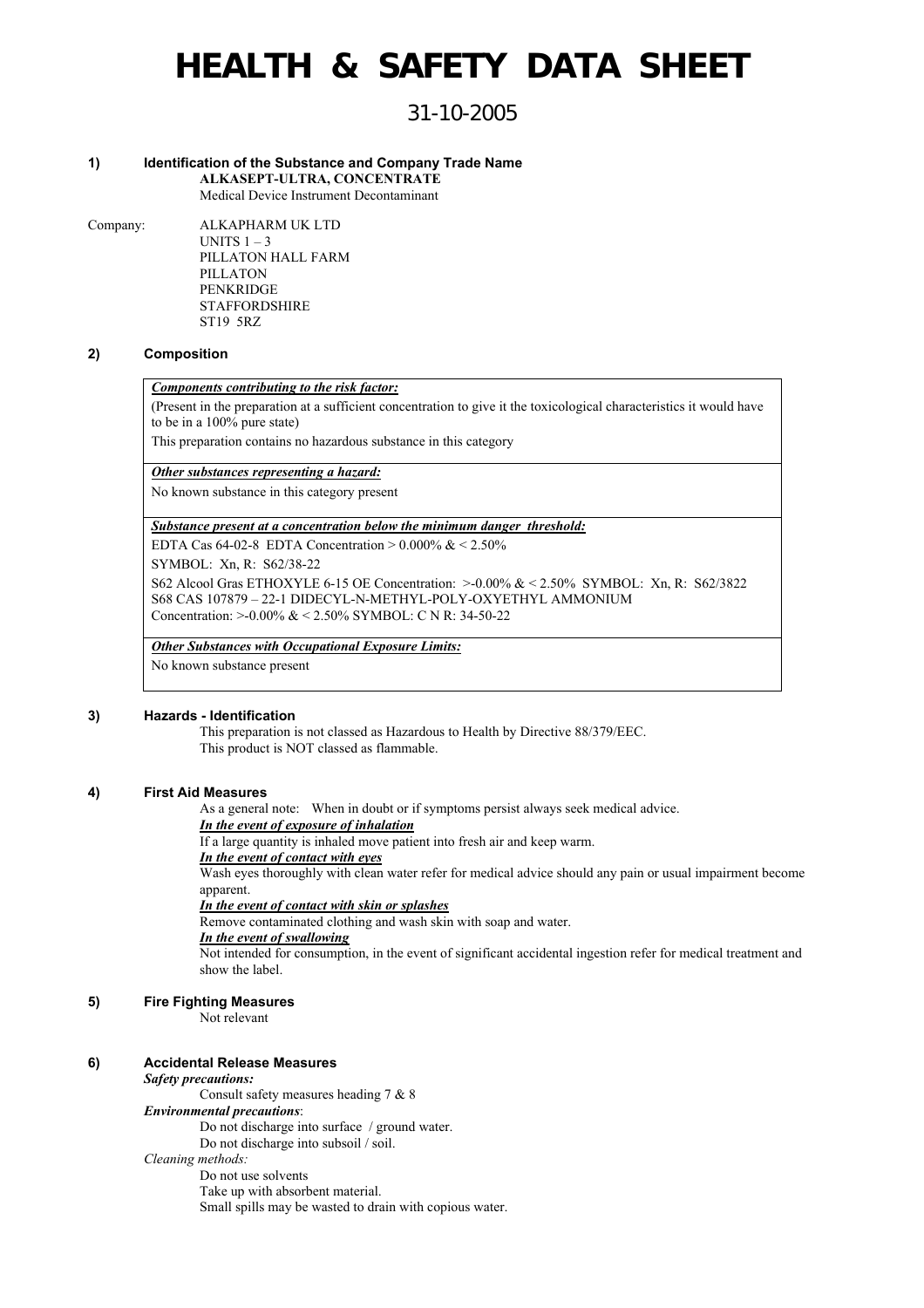# **HEALTH & SAFETY DATA SHEET**

## 31-10-2005

#### **1) Identification of the Substance and Company Trade Name** ALKASEPT-ULTRA, CONCENTRATE

Medical Device Instrument Decontaminant

Company: ALKAPHARM UK LTD UNITS  $1 - 3$ PILLATON HALL FARM PILLATON PENKRIDGE **STAFFORDSHIRE** 

#### **2) Composition**

#### *Components contributing to the risk factor:*

ST19 5RZ

(Present in the preparation at a sufficient concentration to give it the toxicological characteristics it would have to be in a 100% pure state)

This preparation contains no hazardous substance in this category

#### *Other substances representing a hazard:*

No known substance in this category present

#### *Substance present at a concentration below the minimum danger threshold:*

EDTA Cas  $64-02-8$  EDTA Concentration  $> 0.000\%$  &  $< 2.50\%$ 

SYMBOL: Xn, R: S62/38-22

S62 Alcool Gras ETHOXYLE 6-15 OE Concentration: >-0.00% & < 2.50% SYMBOL: Xn, R: S62/3822 S68 CAS 107879 – 22-1 DIDECYL-N-METHYL-POLY-OXYETHYL AMMONIUM Concentration: >-0.00% & < 2.50% SYMBOL: C N R: 34-50-22

*Other Substances with Occupational Exposure Limits:*

No known substance present

#### **3) Hazards - Identification**

This preparation is not classed as Hazardous to Health by Directive 88/379/EEC. This product is NOT classed as flammable.

#### **4) First Aid Measures**

As a general note: When in doubt or if symptoms persist always seek medical advice. *In the event of exposure of inhalation*

If a large quantity is inhaled move patient into fresh air and keep warm.

## *In the event of contact with eyes*

Wash eyes thoroughly with clean water refer for medical advice should any pain or usual impairment become apparent.

### *In the event of contact with skin or splashes*

Remove contaminated clothing and wash skin with soap and water.

*In the event of swallowing*

Not intended for consumption, in the event of significant accidental ingestion refer for medical treatment and show the label.

#### **5) Fire Fighting Measures**

Not relevant

## **6) Accidental Release Measures**

#### *Safety precautions:*

Consult safety measures heading 7 & 8 *Environmental precautions*: Do not discharge into surface / ground water. Do not discharge into subsoil / soil. *Cleaning methods:* Do not use solvents Take up with absorbent material. Small spills may be wasted to drain with copious water.